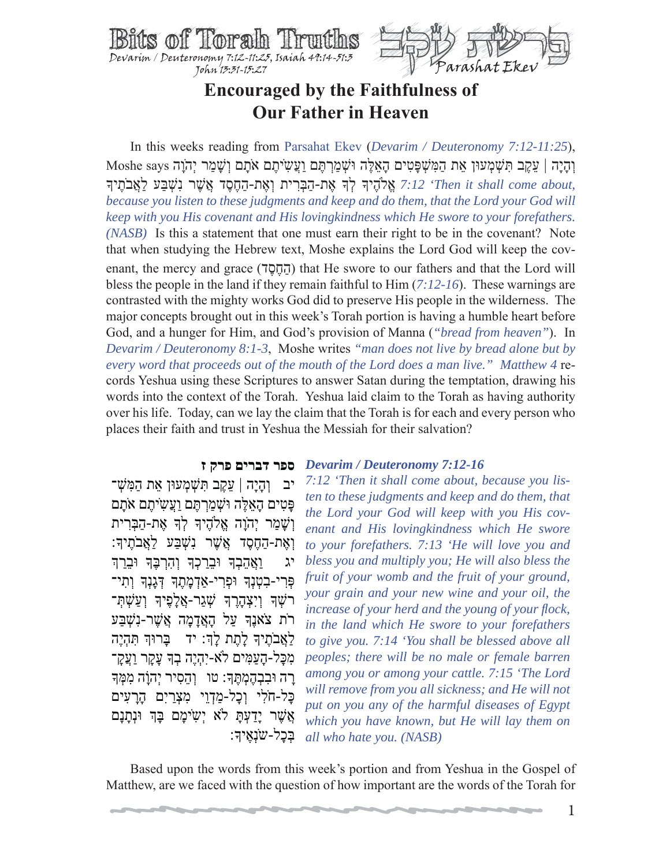



# **Encouraged by the Faithfulness of Our Father in Heaven**

 In this weeks reading from Parsahat Ekev (*Devarim / Deuteronomy 7:12-11:25*), ְו ָהיָה | ֵע ֶקב ִתּ ְשׁ ְמעוּן ֵאת ַה ִמּ ְשׁ ָפּ ִטים ָה ֵא ֶלּה ְ וּשׁ ַמ ְר ֶתּם ַוֲע ִשֹ ֶיתם אָֹתם ְו ָשׁ ַמר יְהָֹוה says Moshe י *וֹאת-הַחֶסֶד אֲשֶׁר נִשְׁבַּע לַאֲבֹתִי*ךָ (לֹה יִאת-הַבִּרִית וְאֶת-הַחֶסֶד אֲשֶׁר נִשְׁבַּע לַאֲבֹתִיךָ *?:12 because you listen to these judgments and keep and do them, that the Lord your God will keep with you His covenant and His lovingkindness which He swore to your forefathers. (NASB)* Is this a statement that one must earn their right to be in the covenant? Note that when studying the Hebrew text, Moshe explains the Lord God will keep the covenant, the mercy and grace (הַחֲסָד) that He swore to our fathers and that the Lord will bless the people in the land if they remain faithful to Him (*7:12-16*). These warnings are contrasted with the mighty works God did to preserve His people in the wilderness. The major concepts brought out in this week's Torah portion is having a humble heart before God, and a hunger for Him, and God's provision of Manna (*"bread from heaven"*). In *Devarim / Deuteronomy 8:1-3*, Moshe writes *"man does not live by bread alone but by every word that proceeds out of the mouth of the Lord does a man live." Matthew 4* records Yeshua using these Scriptures to answer Satan during the temptation, drawing his words into the context of the Torah. Yeshua laid claim to the Torah as having authority over his life. Today, can we lay the claim that the Torah is for each and every person who places their faith and trust in Yeshua the Messiah for their salvation?

#### **ספר דברים פרק ז** *Devarim / Deuteronomy 7:12-16*

יב ֶוְהַיָּה | עֲקֵב תִּשְׁמְעוּן אֶת הַמִּשָׁ־ ַפְּטִים הָאֲלֵה וּשָׁמַרְתֵּם וַעֲשִׂיתֵם אֹתָם וְשַׁמַר יְהוַה אֱלֹהֶיךָ לְךָ אֶת-הַבְּרִית ַוְאֶת-הַחֱסֶד אֱשֶׁר נִשָּׁבַע לְאֱבֹתֵיִךְ: יג ַוַאֲהֵבְךָ וּבֵרַכְךָ וְהִרְבֶּךְ וּבֵרַךְ ּפְּרִי-בִטְנְךָ וּפְרִי-אַדְמָתֶךְ דְּגָנְךָ וְתִי־ רֹשָׁךְ וְיָצְהָרֵךְ שָׁגַר-אֲלָפִיִךְ וְעַשָׁתָ־ רֹת צֹאנֶךְ עַל הָאֲדָמָה אֲשֶׁר-נִשְׁבַּע ַלְאֲבֹתֵיךְ לָתֵת לָךְ: יד ָבָרוּךְ תְּהָיֵה ִמ ָכּל- ָה ַע ִמּים ֹלא-יִ ְהיֶה ְבָך ָע ָקר ַוֲע ָק־ ָרָה וּבִבְהֶמְתֶּךָ: טו ְוְהֵסִיר יְהוָה מִמְּךָ ַכָּל-חֹלִי וְכָל-מַדְוֵי מִצְרַיִם הָרָעִים ָאֲשֶׁר יַדעָתַּ לֹא יְשֹימֵם בַּדְּ וּנְתַנַם ַבְּכל-שֹנָאֵיִדּ

*7:12 'Then it shall come about, because you listen to these judgments and keep and do them, that the Lord your God will keep with you His covenant and His lovingkindness which He swore to your forefathers. 7:13 'He will love you and bless you and multiply you; He will also bless the fruit of your womb and the fruit of your ground, your grain and your new wine and your oil, the increase of your herd and the young of your flock, in the land which He swore to your forefathers to give you. 7:14 'You shall be blessed above all peoples; there will be no male or female barren among you or among your cattle. 7:15 'The Lord will remove from you all sickness; and He will not put on you any of the harmful diseases of Egypt which you have known, but He will lay them on all who hate you. (NASB)*

 Based upon the words from this week's portion and from Yeshua in the Gospel of Matthew, are we faced with the question of how important are the words of the Torah for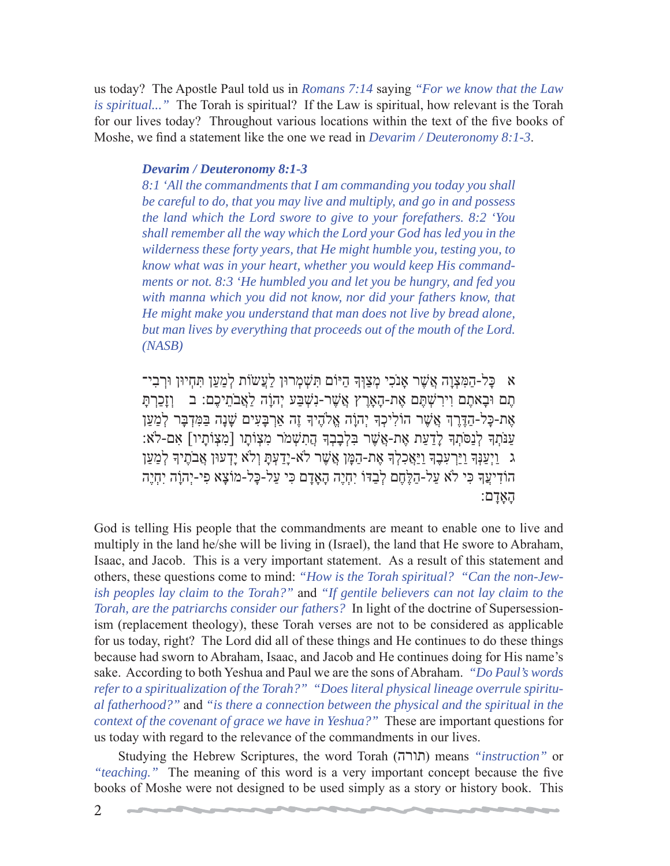us today? The Apostle Paul told us in *Romans 7:14* saying *"For we know that the Law is spiritual..."* The Torah is spiritual? If the Law is spiritual, how relevant is the Torah for our lives today? Throughout various locations within the text of the five books of Moshe, we find a statement like the one we read in *Devarim / Deuteronomy 8:1-3*.

### *Devarim / Deuteronomy 8:1-3*

*8:1 'All the commandments that I am commanding you today you shall be careful to do, that you may live and multiply, and go in and possess the land which the Lord swore to give to your forefathers. 8:2 'You shall remember all the way which the Lord your God has led you in the wilderness these forty years, that He might humble you, testing you, to know what was in your heart, whether you would keep His commandments or not. 8:3 'He humbled you and let you be hungry, and fed you with manna which you did not know, nor did your fathers know, that He might make you understand that man does not live by bread alone, but man lives by everything that proceeds out of the mouth of the Lord. (NASB)*

א ַכָּל-הַמִּצְוַה אֲשֶׁר אֲנֹכִי מְצַוְּךָ הַיּוֹם תִּשְׁמְרוּן לַעֲשׂוֹת לְמַעַן תִּחִיוּן וּרְבִי־ תֵם וּבַאתֵם וירשׁתֵּם אֶת-הָארֵץ אֲשֶׁר-נִשָּׁבּע יְהוֹה לֹאֲבֹתיכֶם: ב *ַ*וזַכְרְתַּ אֶת-כָּל-הַדֶּרְךָ אֲשֶׁר הוֹלִיכְךָ יְהוָה אֱלֹהֶיךָ זֶה אֲרַבָּעִים שָׁנָה בַּמִּדְבָּר לְמַעַן ַעֲנֹתְךָ לְנַסֹּתְךָ לַדעת אֶת-אֱשֶׁר בּלְבָבְךָ הֲתֹשָׁמֹר מִצְוֹתֵו [מִצְוֹתַיו] אִם-לֹא: ג ַוַיִעֲנָּךְ וַיַּרְעָבֶךְ וַיַּאֲכְלִךְ אֶת-הַמֵּן אֲשֶׁר לֹא-יַדַעִתַּ וְלֹא יַדְעוּן אֲבֹתֵיךְ לְמַעֲן הוֹדִיעֲךָ כִּי לֹא עַל-הַלֶּחֶם לְבַדּוֹ יְחָיֶה הָאֲדַם כִּי עַל-כַּל-מוֹצָא פִי-יְהוֹה יְחָיֶה ָה ָאָדם:

God is telling His people that the commandments are meant to enable one to live and multiply in the land he/she will be living in (Israel), the land that He swore to Abraham, Isaac, and Jacob. This is a very important statement. As a result of this statement and others, these questions come to mind: *"How is the Torah spiritual? "Can the non-Jewish peoples lay claim to the Torah?"* and *"If gentile believers can not lay claim to the Torah, are the patriarchs consider our fathers?* In light of the doctrine of Supersessionism (replacement theology), these Torah verses are not to be considered as applicable for us today, right? The Lord did all of these things and He continues to do these things because had sworn to Abraham, Isaac, and Jacob and He continues doing for His name's sake. According to both Yeshua and Paul we are the sons of Abraham. *"Do Paul's words refer to a spiritualization of the Torah?" "Does literal physical lineage overrule spiritual fatherhood?"* and *"is there a connection between the physical and the spiritual in the context of the covenant of grace we have in Yeshua?"* These are important questions for us today with regard to the relevance of the commandments in our lives.

 Studying the Hebrew Scriptures, the word Torah (תורה (means *"instruction"* or *"teaching."* The meaning of this word is a very important concept because the five books of Moshe were not designed to be used simply as a story or history book. This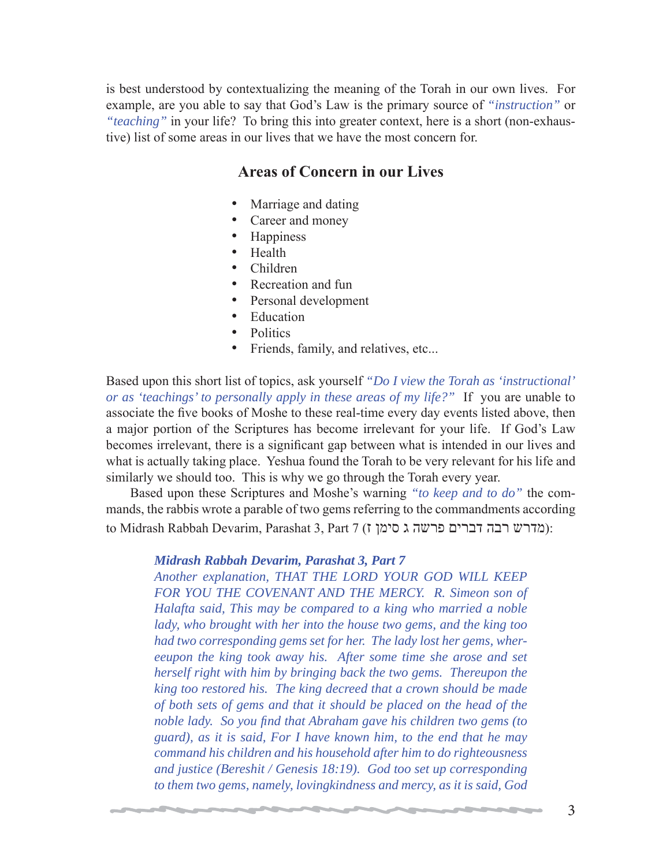is best understood by contextualizing the meaning of the Torah in our own lives. For example, are you able to say that God's Law is the primary source of *"instruction"* or *"teaching"* in your life? To bring this into greater context, here is a short (non-exhaustive) list of some areas in our lives that we have the most concern for.

## **Areas of Concern in our Lives**

- Marriage and dating
- Career and money
- Happiness
- Health
- Children
- Recreation and fun
- Personal development
- **Education**
- Politics
- Friends, family, and relatives, etc...

Based upon this short list of topics, ask yourself *"Do I view the Torah as 'instructional' or as 'teachings' to personally apply in these areas of my life?"* If you are unable to associate the five books of Moshe to these real-time every day events listed above, then a major portion of the Scriptures has become irrelevant for your life. If God's Law becomes irrelevant, there is a significant gap between what is intended in our lives and what is actually taking place. Yeshua found the Torah to be very relevant for his life and similarly we should too. This is why we go through the Torah every year.

 Based upon these Scriptures and Moshe's warning *"to keep and to do"* the commands, the rabbis wrote a parable of two gems referring to the commandments according to Midrash Rabbah Devarim, Parashat 3, Part 7 (מדרש רבה דברים פרשה ג סימן ז):

### *Midrash Rabbah Devarim, Parashat 3, Part 7*

*Another explanation, THAT THE LORD YOUR GOD WILL KEEP*  FOR YOU THE COVENANT AND THE MERCY. R. Simeon son of *Halafta said, This may be compared to a king who married a noble lady, who brought with her into the house two gems, and the king too had two corresponding gems set for her. The lady lost her gems, whereeupon the king took away his. After some time she arose and set herself right with him by bringing back the two gems. Thereupon the king too restored his. The king decreed that a crown should be made of both sets of gems and that it should be placed on the head of the noble lady. So you find that Abraham gave his children two gems (to guard), as it is said, For I have known him, to the end that he may command his children and his household after him to do righteousness and justice (Bereshit / Genesis 18:19). God too set up corresponding to them two gems, namely, lovingkindness and mercy, as it is said, God*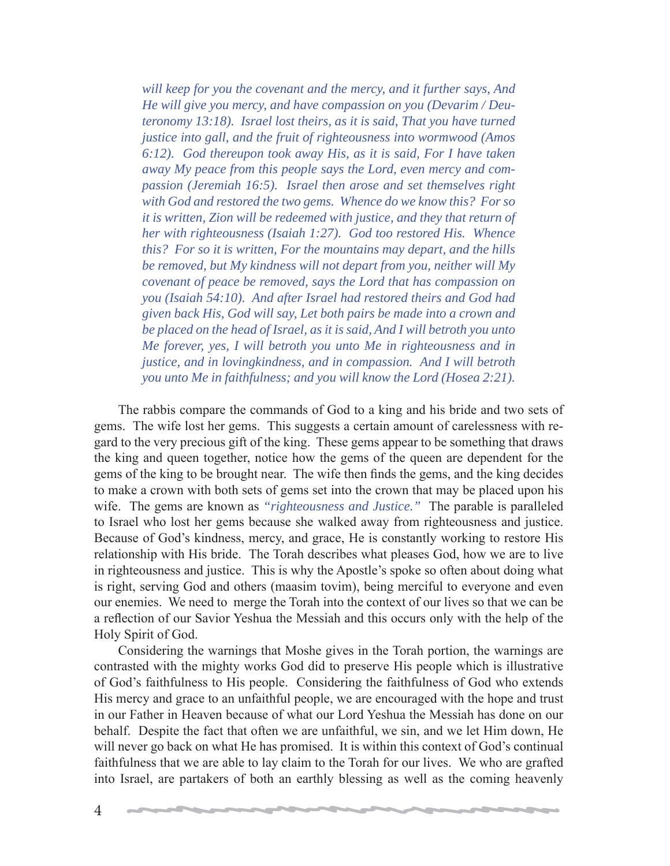*will keep for you the covenant and the mercy, and it further says, And He will give you mercy, and have compassion on you (Devarim / Deuteronomy 13:18). Israel lost theirs, as it is said, That you have turned justice into gall, and the fruit of righteousness into wormwood (Amos 6:12). God thereupon took away His, as it is said, For I have taken away My peace from this people says the Lord, even mercy and compassion (Jeremiah 16:5). Israel then arose and set themselves right with God and restored the two gems. Whence do we know this? For so it is written, Zion will be redeemed with justice, and they that return of her with righteousness (Isaiah 1:27). God too restored His. Whence this? For so it is written, For the mountains may depart, and the hills be removed, but My kindness will not depart from you, neither will My covenant of peace be removed, says the Lord that has compassion on you (Isaiah 54:10). And after Israel had restored theirs and God had given back His, God will say, Let both pairs be made into a crown and be placed on the head of Israel, as it is said, And I will betroth you unto Me forever, yes, I will betroth you unto Me in righteousness and in justice, and in lovingkindness, and in compassion. And I will betroth you unto Me in faithfulness; and you will know the Lord (Hosea 2:21).*

 The rabbis compare the commands of God to a king and his bride and two sets of gems. The wife lost her gems. This suggests a certain amount of carelessness with regard to the very precious gift of the king. These gems appear to be something that draws the king and queen together, notice how the gems of the queen are dependent for the gems of the king to be brought near. The wife then finds the gems, and the king decides to make a crown with both sets of gems set into the crown that may be placed upon his wife. The gems are known as *"righteousness and Justice."* The parable is paralleled to Israel who lost her gems because she walked away from righteousness and justice. Because of God's kindness, mercy, and grace, He is constantly working to restore His relationship with His bride. The Torah describes what pleases God, how we are to live in righteousness and justice. This is why the Apostle's spoke so often about doing what is right, serving God and others (maasim tovim), being merciful to everyone and even our enemies. We need to merge the Torah into the context of our lives so that we can be a reflection of our Savior Yeshua the Messiah and this occurs only with the help of the Holy Spirit of God.

 Considering the warnings that Moshe gives in the Torah portion, the warnings are contrasted with the mighty works God did to preserve His people which is illustrative of God's faithfulness to His people. Considering the faithfulness of God who extends His mercy and grace to an unfaithful people, we are encouraged with the hope and trust in our Father in Heaven because of what our Lord Yeshua the Messiah has done on our behalf. Despite the fact that often we are unfaithful, we sin, and we let Him down, He will never go back on what He has promised. It is within this context of God's continual faithfulness that we are able to lay claim to the Torah for our lives. We who are grafted into Israel, are partakers of both an earthly blessing as well as the coming heavenly